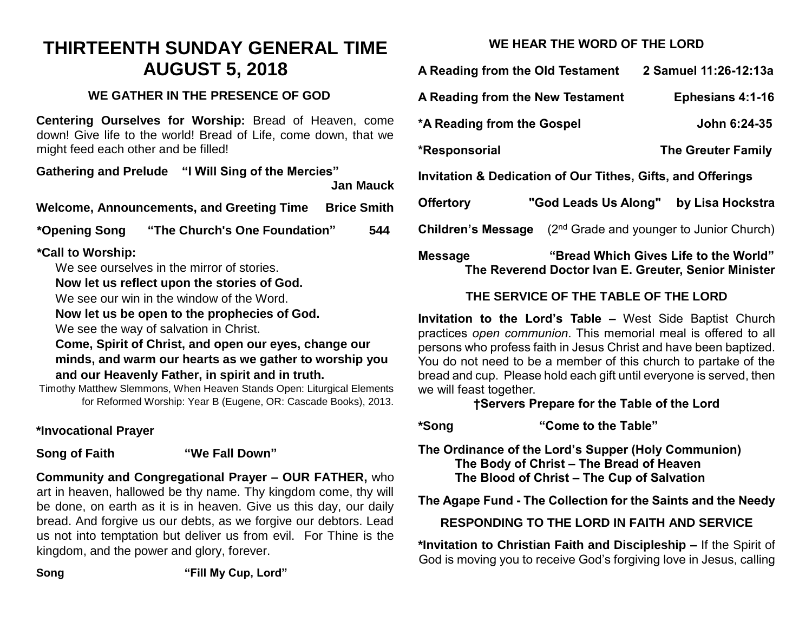# **THIRTEENTH SUNDAY GENERAL TIME AUGUST 5, 2018**

## **WE GATHER IN THE PRESENCE OF GOD**

**Centering Ourselves for Worship:** Bread of Heaven, come down! Give life to the world! Bread of Life, come down, that we might feed each other and be filled!

**Gathering and Prelude "I Will Sing of the Mercies"**

**Jan Mauck**

**Welcome, Announcements, and Greeting Time Brice Smith**

**\*Opening Song "The Church's One Foundation" 544**

# **\*Call to Worship:**

We see ourselves in the mirror of stories.

#### **Now let us reflect upon the stories of God.**

We see our win in the window of the Word.

#### **Now let us be open to the prophecies of God.**

We see the way of salvation in Christ.

#### **Come, Spirit of Christ, and open our eyes, change our minds, and warm our hearts as we gather to worship you and our Heavenly Father, in spirit and in truth.**

Timothy Matthew Slemmons, When Heaven Stands Open: Liturgical Elements for Reformed Worship: Year B (Eugene, OR: Cascade Books), 2013.

# **\*Invocational Prayer**

## **Song of Faith "We Fall Down"**

**Community and Congregational Prayer – OUR FATHER,** who art in heaven, hallowed be thy name. Thy kingdom come, thy will be done, on earth as it is in heaven. Give us this day, our daily bread. And forgive us our debts, as we forgive our debtors. Lead us not into temptation but deliver us from evil. For Thine is the kingdom, and the power and glory, forever.

**WE HEAR THE WORD OF THE LORD**

| A Reading from the Old Testament                                                  |                      | 2 Samuel 11:26-12:13a     |
|-----------------------------------------------------------------------------------|----------------------|---------------------------|
| A Reading from the New Testament                                                  |                      | <b>Ephesians 4:1-16</b>   |
| *A Reading from the Gospel                                                        |                      | John 6:24-35              |
| *Responsorial                                                                     |                      | <b>The Greuter Family</b> |
| Invitation & Dedication of Our Tithes, Gifts, and Offerings                       |                      |                           |
| <b>Offertory</b>                                                                  | "God Leads Us Along" | by Lisa Hockstra          |
| (2 <sup>nd</sup> Grade and younger to Junior Church)<br><b>Children's Message</b> |                      |                           |
| "Droad Which Cives Life to the Werld"<br>$M$ oooooo                               |                      |                           |

#### **Message "Bread Which Gives Life to the World" The Reverend Doctor Ivan E. Greuter, Senior Minister**

# **THE SERVICE OF THE TABLE OF THE LORD**

**Invitation to the Lord's Table –** West Side Baptist Church practices *open communion*. This memorial meal is offered to all persons who profess faith in Jesus Christ and have been baptized. You do not need to be a member of this church to partake of the bread and cup. Please hold each gift until everyone is served, then we will feast together.

## **†Servers Prepare for the Table of the Lord**

**\*Song "Come to the Table"**

**The Ordinance of the Lord's Supper (Holy Communion) The Body of Christ – The Bread of Heaven The Blood of Christ – The Cup of Salvation**

**The Agape Fund - The Collection for the Saints and the Needy**

# **RESPONDING TO THE LORD IN FAITH AND SERVICE**

**\*Invitation to Christian Faith and Discipleship –** If the Spirit of God is moving you to receive God's forgiving love in Jesus, calling